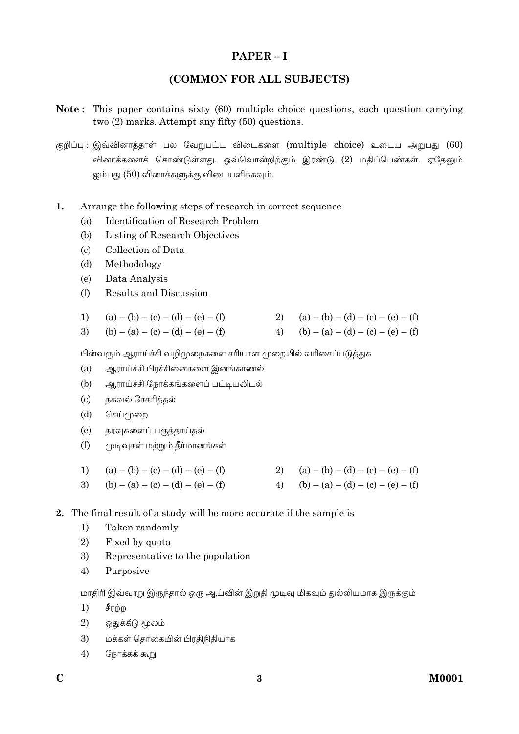# $PAPER - I$

# (COMMON FOR ALL SUBJECTS)

- Note: This paper contains sixty (60) multiple choice questions, each question carrying two  $(2)$  marks. Attempt any fifty  $(50)$  questions.
- குறிப்பு: இவ்வினாக்காள் பல வேறுபட்ட விடைகளை (multiple choice) உடைய அறுபது (60) வினாக்களைக் கொண்டுள்ளது. ஒவ்வொன்றிற்கும் இரண்டு (2) மதிப்பெண்கள். ஏதேனும் ஐம்பது (50) வினாக்களுக்கு விடையளிக்கவும்.
- $\mathbf{1}$ . Arrange the following steps of research in correct sequence
	- **Identification of Research Problem**  $(a)$
	- $(b)$ Listing of Research Objectives
	- Collection of Data  $\left( \mathrm{e}\right)$
	- $(b)$ Methodology
	- $(e)$ Data Analysis
	- $(f)$ Results and Discussion

| 1) $(a) - (b) - (c) - (d) - (e) - (f)$ | 2) $(a) - (b) - (d) - (c) - (e) - (f)$ |
|----------------------------------------|----------------------------------------|
|----------------------------------------|----------------------------------------|

 $(b) - (a) - (c) - (d) - (e) - (f)$ 4) (b) – (a) – (d) – (c) – (e) – (f)  $3)$ 

பின்வரும் ஆராய்ச்சி வழிமுறைகளை சரியான முறையில் வரிசைப்படுத்துக

- $(a)$ ஆராய்ச்சி பிரச்சினைகளை இனங்காணல்
- (b) ஆராய்ச்சி நோக்கங்களைப் பட்டியலிடல்
- $(c)$ தகவல் சேகரித்தல்
- $(d)$ செய்முறை
- $(e)$ தரவுகளைப் பகுத்தாய்தல்
- $(f)$ முடிவுகள் மற்றும் தீர்மானங்கள்

| 1) $(a) - (b) - (c) - (d) - (e) - (f)$ | 2) $(a) - (b) - (d) - (c) - (e) - (f)$ |
|----------------------------------------|----------------------------------------|
| 3) (b) – (a) – (c) – (d) – (e) – (f)   | 4) (b) – (a) – (d) – (c) – (e) – (f)   |

- 2. The final result of a study will be more accurate if the sample is
	- Taken randomlv  $1)$
	- $2)$ Fixed by quota
	- 3) Representative to the population
	- $4)$ Purposive

மாதிரி இவ்வாறு இருந்தால் ஒரு ஆய்வின் இறுதி முடிவு மிகவும் துல்லியமாக இருக்கும்

- $1)$ சீரற்ற
- 2) ஒதுக்கீடு மூலம்
- 3) மக்கள் தொகையின் பிரதிநிதியாக
- $4)$ நோக்கக் கூறு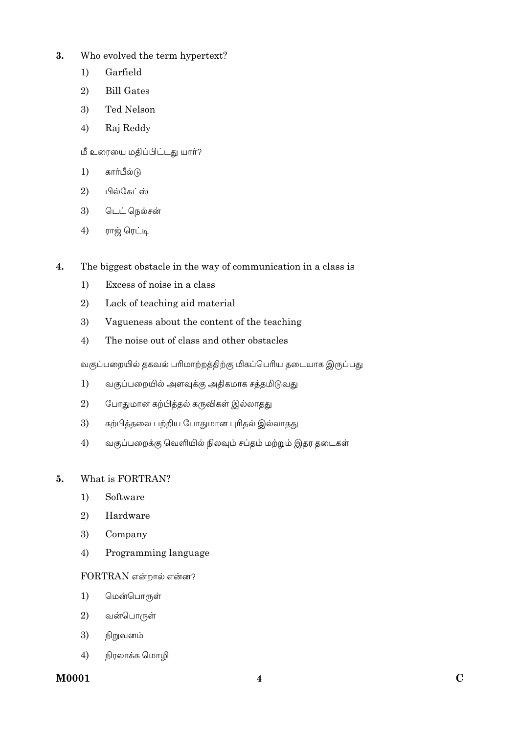- Who evolved the term hypertext?  $3.$ 
	- $1)$ Garfield
	- $2)$ **Bill Gates**
	- 3) Ted Nelson
	- 4) Raj Reddy
	- மீ உரையை மதிப்பிட்டது யார்?
	- கார்பீல்டு  $1)$
	- $\overline{2}$ பில்கேட்ஸ்
	- $3)$ டெட் நெல்சன்
	- 4) ராஜ் ரெட்டி
- $\boldsymbol{4}$ . The biggest obstacle in the way of communication in a class is
	- $1)$ Excess of noise in a class
	- $2)$ Lack of teaching aid material
	- 3) Vagueness about the content of the teaching
	- $4)$ The noise out of class and other obstacles

வகுப்பறையில் தகவல் பரிமாற்றத்திற்கு மிகப்பெரிய தடையாக இருப்பது

- $1)$ வகுப்பறையில் அளவுக்கு அதிகமாக சத்தமிடுவது
- 2) போதுமான கற்பித்தல் கருவிகள் இல்லாதது
- 3) கற்பித்தலை பற்றிய போதுமான புரிதல் இல்லாதது
- $4)$ வகுப்பறைக்கு வெளியில் நிலவும் சப்தம் மற்றும் இதர தடைகள்

#### What is FORTRAN? 5.

- $1)$ Software
- $2)$ Hardware
- 3) Company
- Programming language  $4)$

# FORTRAN என்றால் என்ன?

- மென்பொருள்  $1)$
- வன்பொருள் 2)
- 3) நிறுவனம்
- நிரலாக்க மொழி  $4)$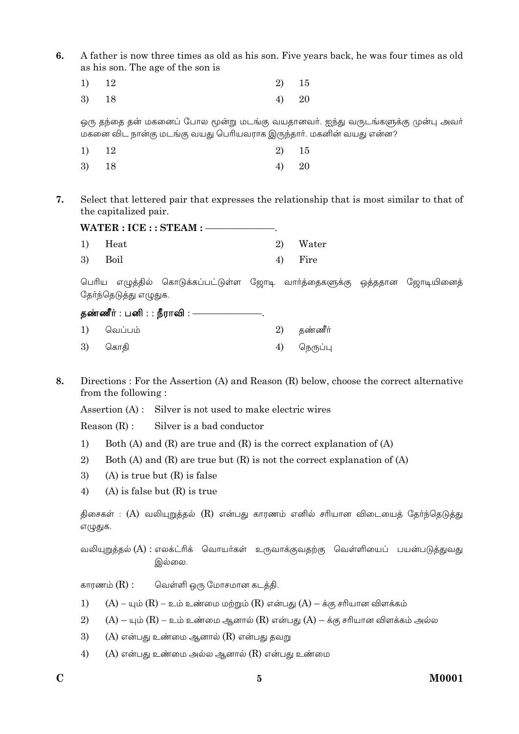$6.$ A father is now three times as old as his son. Five years back, he was four times as old as his son. The age of the son is

| 1) 12 | 2) 15 |  |
|-------|-------|--|
| 3) 18 | 4) 20 |  |

.<br>ஒரு தந்தை தன் மகனைப் போல மூன்று மடங்கு வயதானவர். ஐந்து வருடங்களுக்கு முன்பு அவர் மகனை விட நான்கு மடங்கு வயது பெரியவராக இருந்தார். மகனின் வயது என்ன?

| 1) 12 | 2) 15 |  |
|-------|-------|--|
| 3) 18 | 4) 20 |  |

7. Select that lettered pair that expresses the relationship that is most similar to that of the capitalized pair.

| $W {\rm ATER}: {\rm ICE}: {\rm STEAM}:$ |          |
|-----------------------------------------|----------|
| 1) Heat                                 | 2) Water |
| 3) Boil                                 | 4) Fire  |

பெரிய எழுத்தில் கொடுக்கப்பட்டுள்ள ஜோடி வார்த்தைகளுக்கு ஒத்ததான ஜோடியினைத் தேர்ந்தெடுத்து எழுதுக.

|    | தண்ணீர் : பனி : : நீராவி : —— |            |
|----|-------------------------------|------------|
|    | 1) வெப்பம்                    | 2) தண்ணீர் |
| 3) | கொதி                          | நெருப்பு   |

8. Directions: For the Assertion (A) and Reason (R) below, choose the correct alternative from the following:

Assertion (A): Silver is not used to make electric wires

Silver is a bad conductor  $Reason(R)$ :

- Both (A) and (R) are true and (R) is the correct explanation of (A)  $1)$
- $2)$ Both (A) and (R) are true but (R) is not the correct explanation of (A)
- 3)  $(A)$  is true but  $(R)$  is false
- $4)$  $(A)$  is false but  $(R)$  is true

திசைகள் : (A) வலியுறுத்தல் (R) என்பது காரணம் எனில் சரியான விடையைத் தேர்ந்தெடுத்து எழுதுக.

வலியுறுத்தல் (A) : எலக்ட்ரிக் வொயர்கள் உருவாக்குவதற்கு வெள்ளியைப் பயன்படுத்துவது இல்லை.

காரணம்  $(R)$  : வெள்ளி ஒரு மோசமான கடத்தி.

- $(A)$  யும்  $(R)$  உம் உண்மை மற்றும்  $(R)$  என்பது  $(A)$  க்கு சரியான விளக்கம்  $1)$
- $(A)$  யும்  $(R)$  உம் உண்மை ஆனால்  $(R)$  என்பது  $(A)$  க்கு சரியான விளக்கம் அல்ல  $(2)$
- $(A)$  என்பது உண்மை ஆனால்  $(R)$  என்பது தவறு 3)
- $4)$  $(A)$  என்பது உண்மை அல்ல ஆனால்  $(R)$  என்பது உண்மை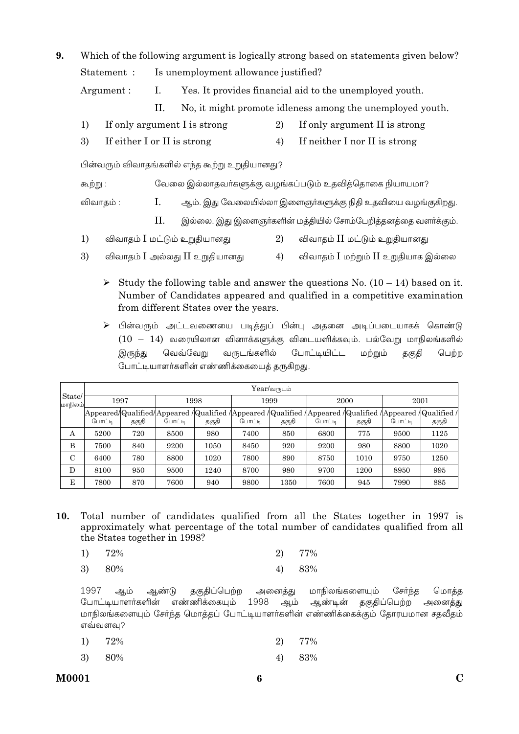| 9.                                                                  |                                   |             |                | Which of the following argument is logically strong based on statements given below? |                                                         |                                                            |  |  |
|---------------------------------------------------------------------|-----------------------------------|-------------|----------------|--------------------------------------------------------------------------------------|---------------------------------------------------------|------------------------------------------------------------|--|--|
|                                                                     |                                   | Statement : |                | Is unemployment allowance justified?                                                 |                                                         |                                                            |  |  |
|                                                                     |                                   | Argument:   | $\mathbf{I}$ . |                                                                                      | Yes. It provides financial aid to the unemployed youth. |                                                            |  |  |
|                                                                     |                                   |             | П.             | No, it might promote idleness among the unemployed youth.                            |                                                         |                                                            |  |  |
|                                                                     | 1)                                |             |                | If only argument I is strong                                                         | 2)                                                      | If only argument II is strong                              |  |  |
|                                                                     | 3)<br>If either I or II is strong |             |                |                                                                                      | 4)                                                      | If neither I nor II is strong                              |  |  |
|                                                                     |                                   |             |                | பின்வரும் விவாதங்களில் எந்த கூற்று உறுதியானது?                                       |                                                         |                                                            |  |  |
|                                                                     | கூற்று :<br>Ι.<br>விவாதம் :       |             |                |                                                                                      |                                                         | வேலை இல்லாதவா்களுக்கு வழங்கப்படும் உதவித்தொகை நியாயமா?     |  |  |
|                                                                     |                                   |             |                |                                                                                      |                                                         | ஆம். இது வேலையில்லா இளைஞா்களுக்கு நிதி உதவியை வழங்குகிறது. |  |  |
| П.<br>இல்லை. இது இளைஞா்களின் மத்தியில் சோம்பேறித்தனத்தை வளா்க்கும். |                                   |             |                |                                                                                      |                                                         |                                                            |  |  |
|                                                                     | 1)                                |             |                | விவாதம் I மட்டும் உறுதியானது                                                         | 2)                                                      | விவாதம் II மட்டும் உறுதியானது                              |  |  |

- 3) விவாதம் I அல்லது II உறுதியானது 4) விவாதம் I மற்றும் II உறுதியாக இல்லை
	- Study the following table and answer the questions No.  $(10 14)$  based on it. Number of Candidates appeared and qualified in a competitive examination from different States over the years.
	- ≻ பின்வரும் அட்டவணையை படித்துப் பின்பு அதனை அடிப்படையாகக் கொண்டு  $(10 - 14)$  வரையிலான வினாக்களுக்கு விடையளிக்கவும். பல்வேறு மாநிலங்களில் வருடங்களில் போட்டியிட்ட இருந்து வெவ்வேறு மற்றும் தகுதி பெற்ற போட்டியாளர்களின் எண்ணிக்கையைத் தருகிறது.

|                   |        |       |        |       |        | $Year/$ வருடம் |        |       |        |                                                                                                                       |  |
|-------------------|--------|-------|--------|-------|--------|----------------|--------|-------|--------|-----------------------------------------------------------------------------------------------------------------------|--|
| State/<br>மாநிலம் | 1997   |       | 1998   |       |        | 1999           |        | 2000  |        | 2001                                                                                                                  |  |
|                   | போட்டி | தகுதி | போட்டி | தகுதி | போட்டி | தகுதி          | போட்டி | தகுதி | போட்டி | Appeared/Qualified/Appeared / Qualified / Appeared / Qualified / Appeared / Qualified / Appeared / Qualified<br>தகுதி |  |
| А                 | 5200   | 720   | 8500   | 980   | 7400   | 850            | 6800   | 775   | 9500   | 1125                                                                                                                  |  |
| B                 | 7500   | 840   | 9200   | 1050  | 8450   | 920            | 9200   | 980   | 8800   | 1020                                                                                                                  |  |
| $\mathbf C$       | 6400   | 780   | 8800   | 1020  | 7800   | 890            | 8750   | 1010  | 9750   | 1250                                                                                                                  |  |
| D                 | 8100   | 950   | 9500   | 1240  | 8700   | 980            | 9700   | 1200  | 8950   | 995                                                                                                                   |  |
| E                 | 7800   | 870   | 7600   | 940   | 9800   | 1350           | 7600   | 945   | 7990   | 885                                                                                                                   |  |

10. Total number of candidates qualified from all the States together in 1997 is approximately what percentage of the total number of candidates qualified from all the States together in 1998?

| 1) 72% | 2) 77% |
|--------|--------|
| 3) 80% | 4) 83% |

1997 தகுதிப்பெற்ற அனைத்து மாநிலங்களையும் ஆம் ஆண்டு சேர்ந்த மொக்க போட்டியாளர்களின் எண்ணிக்கையும் 1998 ஆம் ஆண்டின் தகுதிப்பெற்ற அனைத்து மாநிலங்களையும் சேர்ந்த மொத்தப் போட்டியாளர்களின் எண்ணிக்கைக்கும் தோரயமான சதவீதம் எவ்வளவு?

|  | 1) $72\%$ |  | 2) 77% |
|--|-----------|--|--------|
|--|-----------|--|--------|

3) 80% 83% 4)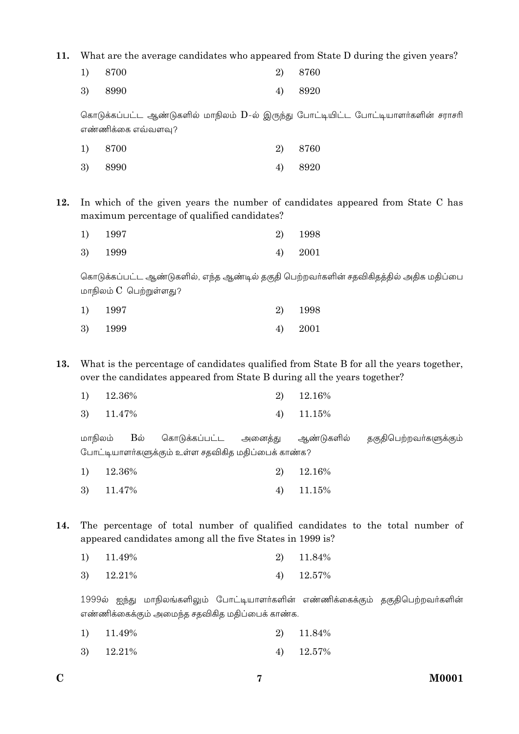**11.** What are the average candidates who appeared from State D during the given years?

| 1) 8700 | 2) 8760 |
|---------|---------|
| 3) 8990 | 4) 8920 |

கொடுக்கப்பட்ட ஆண்டுகளில் மாநிலம்  $D$ -ல் இருந்து போட்டியிட்ட போட்டியாளர்களின் சராசரி எண்ணிக்கை எவ்வளவு?

| 1) 8700 | 2) 8760 |
|---------|---------|
| 3) 8990 | 4) 8920 |

**12.** In which of the given years the number of candidates appeared from State C has maximum percentage of qualified candidates?

| 1) 1997 |    | 2) 1998 |
|---------|----|---------|
| 3) 1999 | 4) | 2001    |

கொடுக்கப்பட்ட ஆண்டுகளில், எந்த ஆண்டில் தகுதி பெற்றவர்களின் சதவிகிதத்தில் அதிக மதிப்பை மாநிலம்  $C$  பெற்றுள்ளது?

| 1) 1997 | 2) 1998   |
|---------|-----------|
| 3) 1999 | $4)$ 2001 |

**13.** What is the percentage of candidates qualified from State B for all the years together, over the candidates appeared from State B during all the years together?

|  | $1)$ 12.36% |  |  | $2)$ 12.16% |
|--|-------------|--|--|-------------|
|--|-------------|--|--|-------------|

3) 11.47% 4) 11.15%

மாநிலம் Bல் கொடுக்கப்பட்ட அனைத்து ஆண்டுகளில் தகுதிபெற்றவா்களுக்கும் போட்டியாளர்களுக்கும் உள்ள சதவிகித மதிப்பைக் காண்க?

| $1)$ 12.36% | 2) 12.16%    |
|-------------|--------------|
| 3) 11.47%   | 4) $11.15\%$ |

**14.** The percentage of total number of qualified candidates to the total number of appeared candidates among all the five States in 1999 is?

|  | $1)$ 11.49% |  |  | 2) 11.84% |
|--|-------------|--|--|-----------|
|--|-------------|--|--|-----------|

3) 12.21% 4) 12.57%

1999ல் ஐந்து மாநிலங்களிலும் போட்டியாளர்களின் எண்ணிக்கைக்கும் தகுதிபெற்றவர்களின் எண்ணிக்கைக்கும் அமைந்த சதவிகித மதிப்பைக் காண்க.

|  | $1)$ 11.49% |  |  | 2) 11.84% |
|--|-------------|--|--|-----------|
|--|-------------|--|--|-----------|

3) 12.21% 4) 12.57%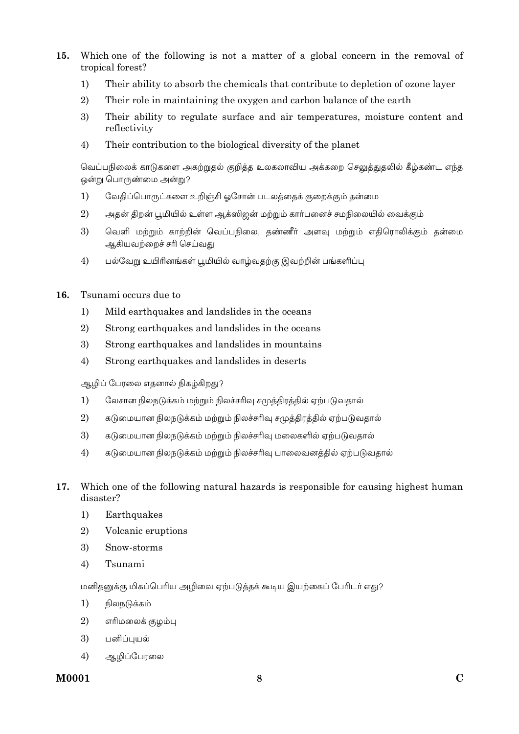- $15.$ Which one of the following is not a matter of a global concern in the removal of tropical forest?
	- Their ability to absorb the chemicals that contribute to depletion of ozone layer  $1)$
	- 2) Their role in maintaining the oxygen and carbon balance of the earth
	- 3) Their ability to regulate surface and air temperatures, moisture content and reflectivity
	- $4)$ Their contribution to the biological diversity of the planet

வெப்பநிலைக் காடுகளை அகற்றுதல் குறித்த உலகலாவிய அக்கறை செலுத்துதலில் கீழ்கண்ட எந்த ஒன்று பொருண்மை அன்று?

- $1)$ வேதிப்பொருட்களை உறிஞ்சி ஒசோன் படலத்தைக் குறைக்கும் தன்மை
- 2) அதன் திறன் பூமியில் உள்ள ஆக்ஸிஜன் மற்றும் கார்பனைச் சமநிலையில் வைக்கும்
- 3) வெளி மற்றும் காற்றின் வெப்பநிலை, தண்ணீர் அளவு மற்றும் எதிரொலிக்கும் தன்மை ஆகியவற்றைச் சரி செய்வது
- $4)$ பல்வேறு உயிரினங்கள் பூமியில் வாழ்வகற்கு இவற்றின் பங்களிப்பு

#### $16$ Tsunami occurs due to

- $1)$ Mild earthquakes and landslides in the oceans
- $2)$ Strong earthquakes and landslides in the oceans
- 3) Strong earthquakes and landslides in mountains
- Strong earthquakes and landslides in deserts  $4)$

ஆழிப் பேரலை எதனால் நிகழ்கிறது?

- $1)$ லேசான நிலநடுக்கம் மற்றும் நிலச்சரிவு சமுத்திரத்தில் ஏற்படுவதால்
- $\overline{2}$ கடுமையான நிலநடுக்கம் மற்றும் நிலச்சரிவு சமுத்திரத்தில் ஏற்படுவதால்
- 3) கடுமையான நிலநடுக்கம் மற்றும் நிலச்சரிவு மலைகளில் ஏற்படுவதால்
- $4)$ கடுமையான நிலநடுக்கம் மற்றும் நிலச்சரிவு பாலைவனத்தில் ஏற்படுவதால்
- 17. Which one of the following natural hazards is responsible for causing highest human disaster?
	- Earthquakes  $1)$
	- $(2)$ Volcanic eruptions
	- 3) Snow-storms
	- $4)$ Tsunami

மனிதனுக்கு மிகப்பெரிய அழிவை ஏற்படுத்தக் கூடிய இயற்கைப் பேரிடர் எது?

- $1)$ நிலநடுக்கம்
- $2)$ எரிமலைக் குழம்பு
- 3) பனிப்புயல்
- $4)$ ஆழிப்பேரலை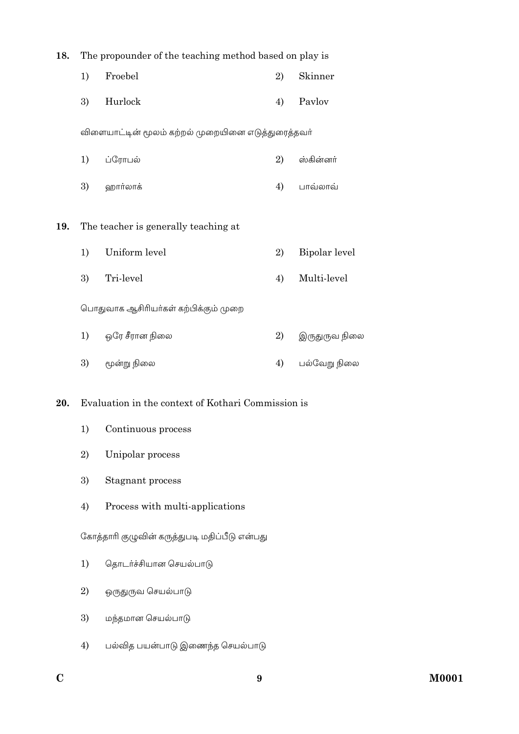| 18. | The propounder of the teaching method based on play is |                                                    |    |               |
|-----|--------------------------------------------------------|----------------------------------------------------|----|---------------|
|     | 1)                                                     | Froebel                                            | 2) | Skinner       |
|     | 3)                                                     | Hurlock                                            | 4) | Pavlov        |
|     |                                                        | விளையாட்டின் மூலம் கற்றல் முறையினை எடுத்துரைத்தவர் |    |               |
|     | 1)                                                     | ப்ரோபல்                                            | 2) | ஸ்கின்னா்     |
|     | 3)                                                     | ஹார்லாக்                                           | 4) | பாவ்லாவ்      |
| 19. |                                                        | The teacher is generally teaching at               |    |               |
|     | 1)                                                     | Uniform level                                      | 2) | Bipolar level |
|     | 3)                                                     | Tri-level                                          | 4) | Multi-level   |
|     |                                                        | பொதுவாக ஆசிரியா்கள் கற்பிக்கும் முறை               |    |               |
|     | 1)                                                     | ஒரே சீரான நிலை                                     | 2) | இருதுருவ நிலை |
|     | 3)                                                     | மூன்று நிலை                                        | 4) | பல்வேறு நிலை  |
| 20. |                                                        | Evaluation in the context of Kothari Commission is |    |               |
|     | 1)                                                     | Continuous process                                 |    |               |
|     | 2)                                                     | Unipolar process                                   |    |               |
|     | 3)                                                     | Stagnant process                                   |    |               |

Process with multi-applications  $4)$ 

கோத்தாரி குழுவின் கருத்துபடி மதிப்பீடு என்பது

- தொடர்ச்சியான செயல்பாடு  $1)$
- 2) ஒருதுருவ செயல்பாடு
- 3) மந்தமான செயல்பாடு
- பல்வித பயன்பாடு இணைந்த செயல்பாடு  $4)$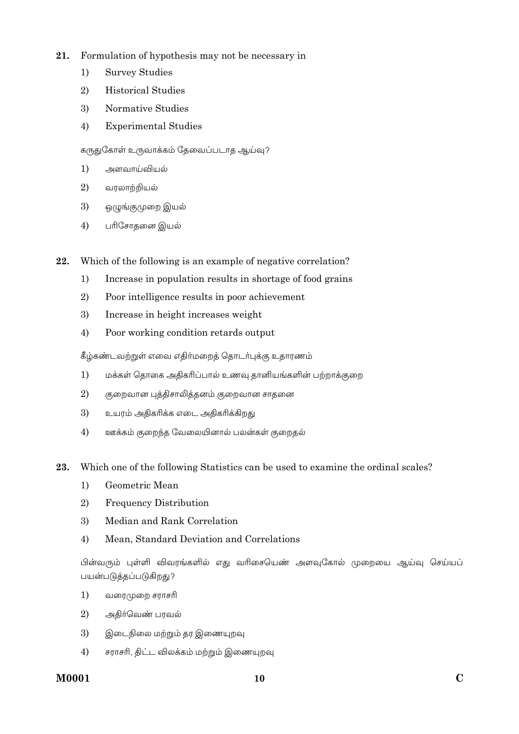- $21.$ Formulation of hypothesis may not be necessary in
	- $1)$ **Survey Studies**
	- $2)$ **Historical Studies**
	- Normative Studies 3)
	- $4)$ **Experimental Studies**

கருதுகோள் உருவாக்கம் தேவைப்படாத ஆய்வு?

- $1)$ அளவாய்வியல்
- $2)$ வரலாற்றியல்
- 3) ஒழுங்குமுறை இயல்
- $4)$ பரிசோதனை இயல்

Which of the following is an example of negative correlation? 22.

- $1)$ Increase in population results in shortage of food grains
- $2)$ Poor intelligence results in poor achievement
- 3) Increase in height increases weight
- $4)$ Poor working condition retards output

கீழ்கண்டவற்றுள் எவை எதிர்மறைத் தொடர்புக்கு உதாரணம்

- $1)$ மக்கள் தொகை அதிகரிப்பால் உணவு தானியங்களின் பற்றாக்குறை
- 2) குறைவான புத்திசாலித்தனம் குறைவான சாதனை
- 3) உயரம் அதிகரிக்க எடை அதிகரிக்கிறது
- $4)$ ஊக்கம் குறைந்த வேலையினால் பலன்கள் குறைதல்
- 23. Which one of the following Statistics can be used to examine the ordinal scales?
	- Geometric Mean  $1)$
	- 2) **Frequency Distribution**
	- 3) Median and Rank Correlation
	- Mean, Standard Deviation and Correlations  $4)$

பின்வரும் புள்ளி விவரங்களில் எது வரிசையெண் அளவுகோல் முறையை ஆய்வு செய்யப் பயன்படுத்தப்படுகிறது?

- $1)$ வரைமுறை சராசரி
- $\overline{2}$ அதிர்வெண் பரவல்
- 3) இடைநிலை மற்றும் தர இணையுறவு
- $4)$ சராசரி, திட்ட விலக்கம் மற்றும் இணையுறவு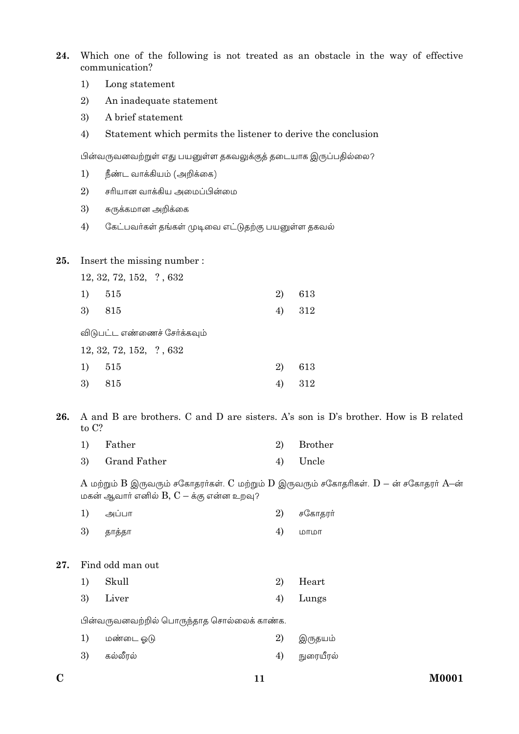24. Which one of the following is not treated as an obstacle in the way of effective communication?

- $1)$ Long statement
- 2) An inadequate statement
- 3) A brief statement
- $4)$ Statement which permits the listener to derive the conclusion

பின்வருவனவற்றுள் எது பயனுள்ள தகவலுக்குத் தடையாக இருப்பதில்லை?

- $1)$ நீண்ட வாக்கியம் (அறிக்கை)
- 2) சரியான வாக்கிய அமைப்பின்மை
- 3) சுருக்கமான அறிக்கை
- $4)$ கேட்பவர்கள் தங்கள் முடிவை எட்டுதற்கு பயனுள்ள தகவல்

#### 25. Insert the missing number:

|  | 12, 32, 72, 152, ?, 632 |  |
|--|-------------------------|--|
|  |                         |  |

| 1) 515 |  | 2) 613 |
|--------|--|--------|
|--------|--|--------|

 $3)$ 815  $4)$ 312

விடுபட்ட எண்ணைச் சேர்க்கவும்

12, 32, 72, 152, ?, 632

| 1) 515 | 2) 613 |
|--------|--------|
| 3) 815 | 4) 312 |

A and B are brothers. C and D are sisters. A's son is D's brother. How is B related 26. to C?

| 1) | Father          | 2) Brother |
|----|-----------------|------------|
|    | 3) Grand Father | 4) Uncle   |

A மற்றும் B இருவரும் சகோதரர்கள். C மற்றும் D இருவரும் சகோதரிகள்.  $D$  – ன் சகோதரர் A–ன் மகன் ஆவாா் எனில்  $B, C - \dot{\mathfrak{s}}$ கு என்ன உறவு?

| 1) | அப்பா                                      | 2) | சகோதரா்   |
|----|--------------------------------------------|----|-----------|
| 3) | தாத்தா                                     | 4) | மாமா      |
|    |                                            |    |           |
|    | Find odd man out                           |    |           |
| 1) | Skull                                      | 2) | Heart     |
| 3) | Liver                                      | 4) | Lungs     |
|    | பின்வருவனவற்றில் பொருந்தாத சொல்லைக் காண்க. |    |           |
| 1) | மண்டை ஓடு                                  | 2) | இருதயம்   |
| 3) | கல்லீரல்                                   | 4) | நுரையீரல் |
|    |                                            |    |           |

27.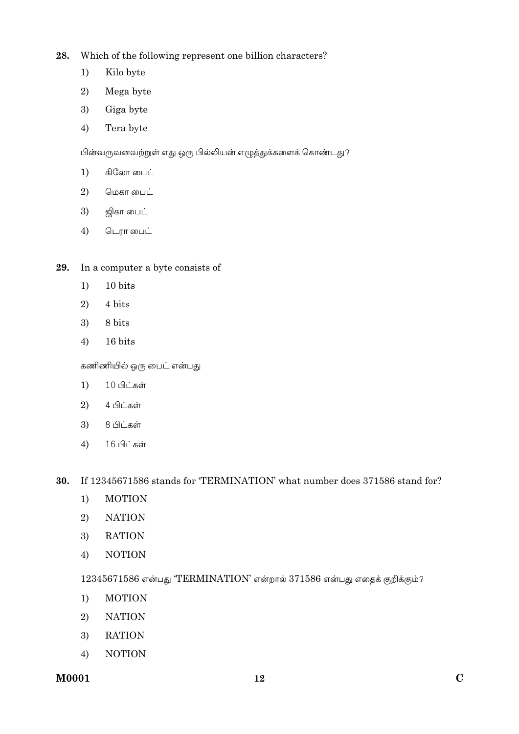28. Which of the following represent one billion characters?

- $1)$ Kilo byte
- 2) Mega byte
- 3) Giga byte
- $4)$ Tera byte

பின்வருவனவற்றுள் எது ஒரு பில்லியன் எழுத்துக்களைக் கொண்டது?

- $1)$ கிலோ பைட்
- மெகா பைட் 2)
- 3) ஜிகா பைட்
- 4) டெரா பைட்

#### In a computer a byte consists of 29.

- 10 bits  $1)$
- 2) 4 bits
- 3) 8 bits
- 16 bits  $4)$

கணிணியில் ஒரு பைட் என்பது

- 10 பிட்கள்  $1)$
- 2) 4 பிட்கள்
- 8 பிட்கள் 3)
- 16 பிட்கள்  $4)$

If 12345671586 stands for 'TERMINATION' what number does 371586 stand for? 30.

- **MOTION**  $1)$
- 2) **NATION**
- 3) **RATION**
- **NOTION**  $4)$

12345671586 என்பது 'TERMINATION' என்றால் 371586 என்பது எதைக் குறிக்கும்?

- $1)$ **MOTION**
- **NATION**  $2)$
- **RATION** 3)
- $4)$ **NOTION**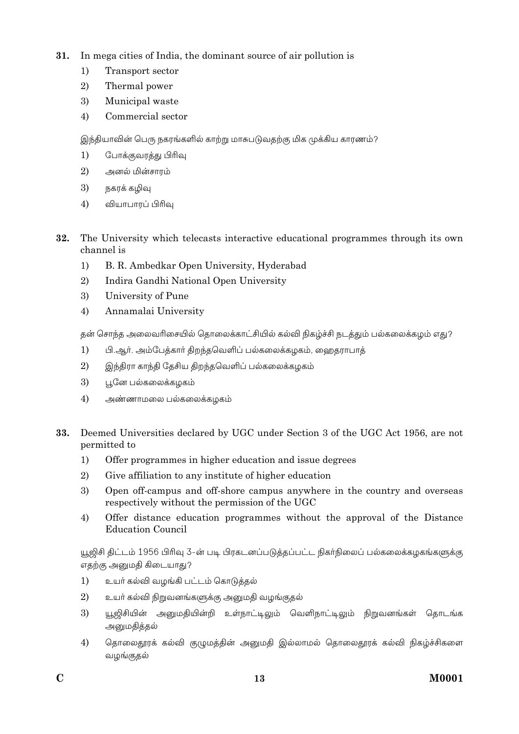- 31. In mega cities of India, the dominant source of air pollution is
	- $1)$ Transport sector
	- 2) Thermal power
	- 3) Municipal waste
	- $4)$ Commercial sector

இந்தியாவின் பெரு நகரங்களில் காற்று மாசுபடுவதற்கு மிக முக்கிய காரணம்?

- $1)$ போக்குவரத்து பிரிவு
- $\overline{2}$ அனல் மின்சாரம்
- 3) நகரக் கமிவ
- $4)$ வியாபாரப் பிரிவு
- 32. The University which telecasts interactive educational programmes through its own channel is
	- $1)$ B. R. Ambedkar Open University, Hyderabad
	- $\overline{2}$ Indira Gandhi National Open University
	- 3) University of Pune
	- $4)$ Annamalai University

தன் சொந்த அலைவரிசையில் தொலைக்காட்சியில் கல்வி நிகழ்ச்சி நடத்தும் பல்கலைக்கழம் எது?

- $1)$ பி.ஆர். அம்பேத்கார் திறந்தவெளிப் பல்கலைக்கழகம், ஹைதராபாத்
- $2)$ இந்திரா காந்தி தேசிய திறந்தவெளிப் பல்கலைக்கமகம்
- 3) பூனே பல்கலைக்கழகம்
- 4) அண்ணாமலை பல்கலைக்கழகம்
- 33. Deemed Universities declared by UGC under Section 3 of the UGC Act 1956, are not permitted to
	- $1)$ Offer programmes in higher education and issue degrees
	- $\overline{2}$ Give affiliation to any institute of higher education
	- 3) Open off-campus and off-shore campus anywhere in the country and overseas respectively without the permission of the UGC
	- $4)$ Offer distance education programmes without the approval of the Distance **Education Council**

யூஜிசி திட்டம் 1956 பிரிவு 3-ன் படி பிரகடனப்படுத்தப்பட்ட நிகர்நிலைப் பல்கலைக்கழகங்களுக்கு எதற்கு அனுமதி கிடையாது?

- $1)$ உயர் கல்வி வழங்கி பட்டம் கொடுத்தல்
- $\overline{2}$ உயா் கல்வி நிறுவனங்களுக்கு அனுமதி வழங்குதல்
- 3) யூஜிசியின் அனுமதியின்றி உள்நாட்டிலும் வெளிநாட்டிலும் நிறுவனங்கள் தொடங்க அனுமதித்தல்
- தொலைதூரக் கல்வி குழுமத்தின் அனுமதி இல்லாமல் தொலைதூரக் கல்வி நிகழ்ச்சிகளை  $4)$ வழங்குதல்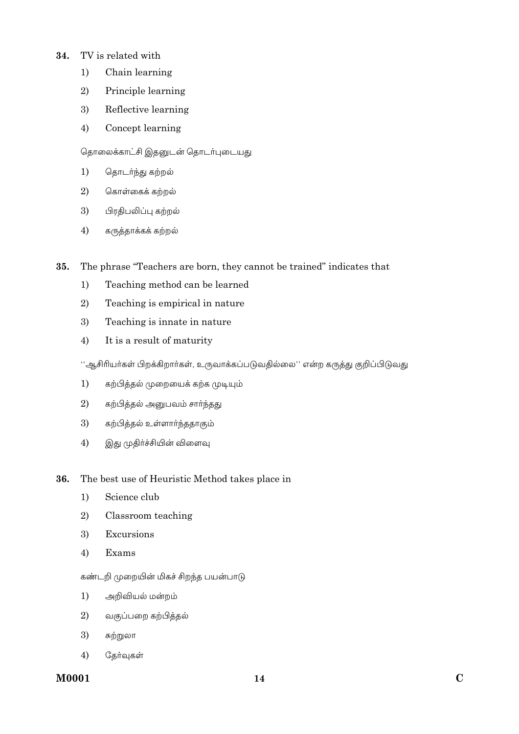#### TV is related with 34.

- $1)$ Chain learning
- 2) Principle learning
- 3) Reflective learning
- $4)$ Concept learning

### தொலைக்காட்சி இதனுடன் தொடர்புடையது

- $1)$ தொடர்ந்து கற்றல்
- $\overline{2}$ கொள்கைக் கற்றல்
- $3)$ பிரதிபலிப்பு கற்றல்
- கருத்தாக்கக் கற்றல்  $4)$
- The phrase "Teachers are born, they cannot be trained" indicates that 35.
	- $1)$ Teaching method can be learned
	- $2)$ Teaching is empirical in nature
	- 3) Teaching is innate in nature
	- $4)$ It is a result of maturity

''ஆசிரியர்கள் பிறக்கிறார்கள், உருவாக்கப்படுவதில்லை'' என்ற கருத்து குறிப்பிடுவது

- $1)$ கற்பித்தல் முறையைக் கற்க முடியும்
- $2)$ கற்பித்தல் அனுபவம் சாா்ந்தது
- 3) கற்பித்தல் உள்ளாா்ந்ததாகும்
- $4)$ இது முதிர்ச்சியின் விளைவு
- 36. The best use of Heuristic Method takes place in
	- $1)$ Science club
	- $2)$ Classroom teaching
	- $3)$ Excursions
	- $4)$ Exams

### கண்டறி முறையின் மிகச் சிறந்த பயன்பாடு

- அறிவியல் மன்றம்  $1)$
- வகுப்பறை கற்பித்தல்  $2)$
- 3) சுற்றுலா
- $4)$ தேர்வுகள்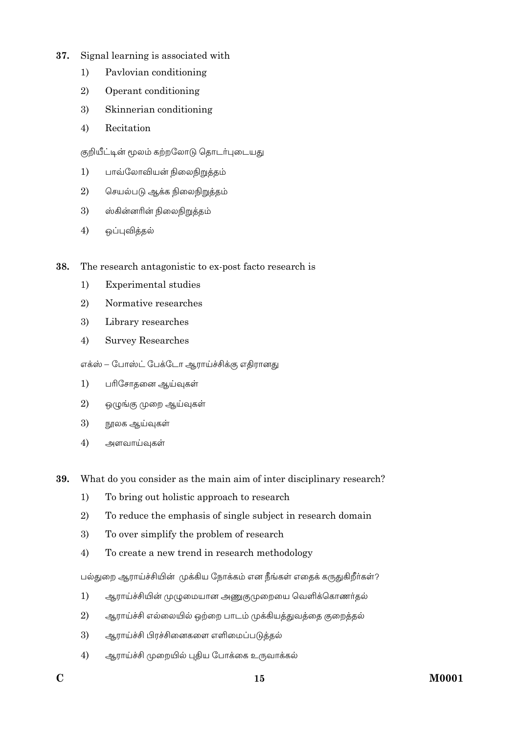- 37. Signal learning is associated with
	- $1)$ Paylovian conditioning
	- 2) Operant conditioning
	- 3) Skinnerian conditioning
	- $4)$ Recitation

குறியீட்டின் மூலம் கற்றலோடு தொடர்புடையது

- பாவ்லோவியன் நிலைநிறுத்தம்  $1)$
- $\overline{2}$ செயல்படு ஆக்க நிலைநிறுத்தம்
- 3) ஸ்கின்னரின் நிலைநிறுத்தம்
- $4)$ ஒப்புவித்தல்
- 38. The research antagonistic to ex-post facto research is
	- $1)$ **Experimental studies**
	- $2)$ Normative researches
	- 3) Library researches
	- $4)$ **Survey Researches**

எக்ஸ் – போஸ்ட் பேக்டோ ஆராய்ச்சிக்கு எதிரானது

- $1)$ பரிசோதனை ஆய்வுகள்
- 2) ஒழுங்கு முறை ஆய்வுகள்
- 3) நூலக ஆய்வுகள்
- $4)$ அளவாய்வுகள்
- 39. What do you consider as the main aim of inter disciplinary research?
	- To bring out holistic approach to research  $1)$
	- $2)$ To reduce the emphasis of single subject in research domain
	- 3) To over simplify the problem of research
	- To create a new trend in research methodology  $4)$

பல்துறை ஆராய்ச்சியின் முக்கிய நோக்கம் என நீங்கள் எதைக் கருதுகிறீர்கள்?

- $1)$ ஆராய்ச்சியின் முழுமையான அணுகுமுறையை வெளிக்கொணர்தல்
- $2)$ ஆராய்ச்சி எல்லையில் ஒற்றை பாடம் முக்கியத்துவத்தை குறைத்தல்
- 3) ஆராய்ச்சி பிரச்சினைகளை எளிமைப்படுக்கல்
- ஆராய்ச்சி முறையில் புதிய போக்கை உருவாக்கல்  $4)$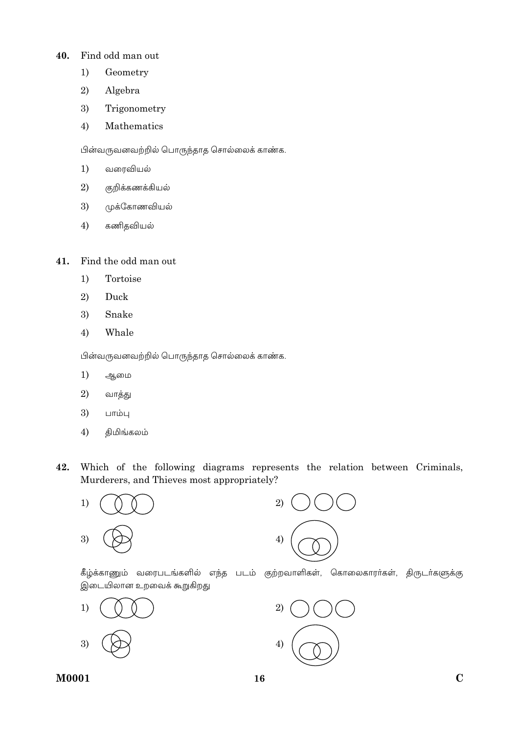#### Find odd man out 40.

- $1)$ Geometry
- 2) Algebra
- 3) Trigonometry
- $4)$ Mathematics

பின்வருவனவற்றில் பொருந்தாத சொல்லைக் காண்க.

- $1)$ வரைவியல்
- $\overline{2}$ குறிக்கணக்கியல்
- $3)$ முக்கோணவியல்
- $4)$ கணிதவியல்

#### 41. Find the odd man out

- Tortoise  $1)$
- 2) Duck
- 3) Snake
- Whale  $4)$

பின்வருவனவற்றில் பொருந்தாத சொல்லைக் காண்க.

- $1)$ ஆமை
- 2) வாத்து
- 3) பாம்பு
- திமிங்கலம் 4)
- 42. Which of the following diagrams represents the relation between Criminals, Murderers, and Thieves most appropriately?





கீழ்க்காணும் வரைபடங்களில் எந்த படம் குற்றவாளிகள், கொலைகாரா்கள், திருடா்களுக்கு இடையிலான உறவைக் கூறுகிறது



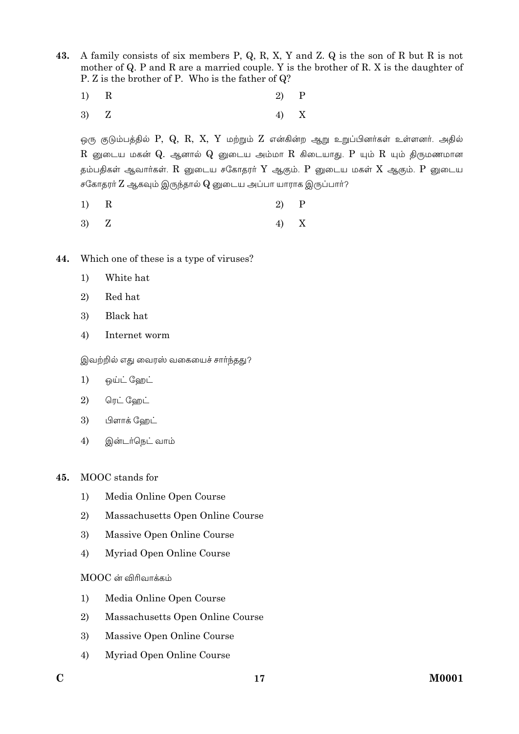43. A family consists of six members P, Q, R, X, Y and Z. Q is the son of R but R is not mother of Q. P and R are a married couple. Y is the brother of R. X is the daughter of P. Z is the brother of P. Who is the father of Q?

- $\mathbf R$  $\overline{P}$  $1)$  $\overline{2}$
- Z  $4)$ X 3)

ஒரு குடும்பத்தில்  $P, Q, R, X, Y$  மற்றும்  $Z$  என்கின்ற ஆறு உறுப்பினர்கள் உள்ளனர். அதில்  $\rm R$  னுடைய மகன்  $\rm Q$ . ஆனால்  $\rm Q$  னுடைய அம்மா  $\rm R$  கிடையாது.  $\rm P$  யும்  $\rm R$  யும் திருமணமான தம்பதிகள் ஆவார்கள்.  $R$  னுடைய சகோதரர்  $Y$  ஆகும்.  $P$  னுடைய மகள்  $X$  ஆகும்.  $P$  னுடைய சகோதரா்  $Z$  ஆகவும் இருந்தால்  $Q$  னுடைய அப்பா யாராக இருப்பாா்?

- $\mathbf R$  $\mathbf P$  $1)$ 2)
- 3) Z 4) X
- 44. Which one of these is a type of viruses?
	- $1)$ White hat
	- 2) Red hat
	- **Black** hat 3)
	- 4) Internet worm

இவற்றில் எது வைரஸ் வகையைச் சார்ந்தது?

- ஒய்ட் ஹேட்  $1)$
- ரெட் ஹேட் 2)
- 3) பிளாக் ஹேட்
- $4)$ இன்டர்நெட் வாம்
- $45.$ MOOC stands for
	- Media Online Open Course  $1)$
	- 2) Massachusetts Open Online Course
	- 3) Massive Open Online Course
	- Myriad Open Online Course  $4)$

 $MOOC$  ன் விரிவாக்கம்

- $1)$ Media Online Open Course
- Massachusetts Open Online Course 2)
- Massive Open Online Course 3)
- Myriad Open Online Course 4)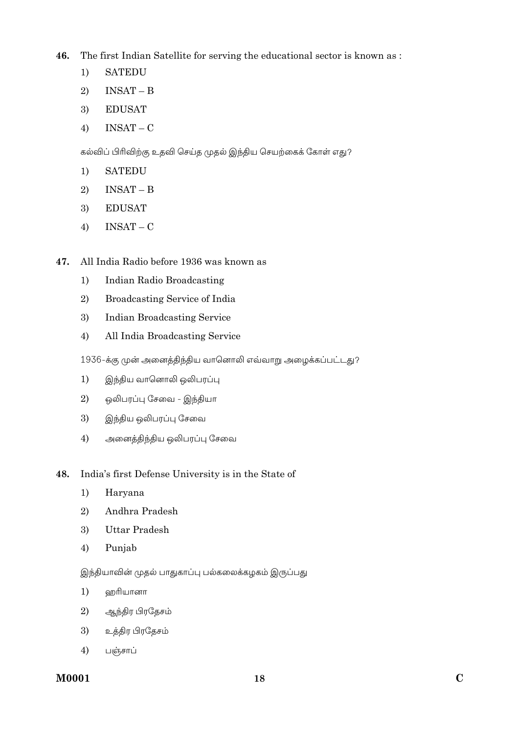**46.** The first Indian Satellite for serving the educational sector is known as :

- 1) SATEDU
- 2)  $INSAT B$
- 3) EDUSAT
- 4)  $INSAT C$

கல்விப் பிரிவிற்கு உதவி செய்த முதல் இந்திய செயற்கைக் கோள் எது?

- 1) SATEDU
- 2)  $INSAT B$
- 3) EDUSAT
- 4)  $INSAT C$
- **47.** All India Radio before 1936 was known as
	- 1) Indian Radio Broadcasting
	- 2) Broadcasting Service of India
	- 3) Indian Broadcasting Service
	- 4) All India Broadcasting Service

1936-க்கு முன் அனைத்திந்திய வானொலி எவ்வாறு அழைக்கப்பட்டது?

- 1) இந்திய வானொலி ஒலிபரப்பு
- $2$ ) ஒலிபரப்பு சேவை இந்தியா
- 3) இந்திய ஒலிபரப்பு சேவை
- $4)$  அனைத்திந்திய ஒலிபரப்பு சேவை

### **48.** India's first Defense University is in the State of

- 1) Haryana
- 2) Andhra Pradesh
- 3) Uttar Pradesh
- 4) Punjab

இந்தியாவின் முதல் பாதுகாப்பு பல்கலைக்கழகம் இருப்பது

- $1)$  வறரியானா
- 2) ஆந்திர பிரதேசம்
- $3$ ) உத்திர பிரதேசம்
- $4)$  பஞ்சாப்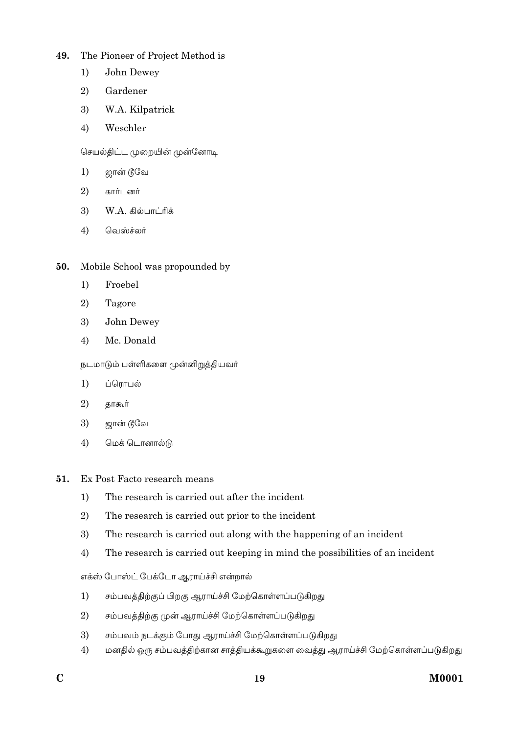#### The Pioneer of Project Method is 49.

- $1)$ John Dewey
- $2)$ Gardener
- 3) W.A. Kilpatrick
- $4)$ Weschler

செயல்திட்ட முறையின் முன்னோடி

- $1)$ ஜான் டூவே
- $\overline{2}$ கார்டனர்
- $W.A.$  கில்பாட்ரிக் 3)
- $4)$ வெஸ்ச்லர்
- Mobile School was propounded by 50.
	- $1)$ Froebel
	- $2)$ Tagore
	- 3) John Dewey
	- $4)$ Mc. Donald

நடமாடும் பள்ளிகளை முன்னிறுத்தியவர்

- $1)$ ப்ரொபல்
- 2) தாகூர்
- 3) ஜான் டூவே
- $4)$ மெக் டொனால்டு
- 51. Ex Post Facto research means
	- The research is carried out after the incident  $1)$
	- $2)$ The research is carried out prior to the incident
	- $3)$ The research is carried out along with the happening of an incident
	- The research is carried out keeping in mind the possibilities of an incident  $4)$

எக்ஸ் போஸ்ட் பேக்டோ ஆராய்ச்சி என்றால்

- $1)$ சம்பவத்திற்குப் பிறகு ஆராய்ச்சி மேற்கொள்ளப்படுகிறது
- $2)$ சம்பவத்திற்கு முன் ஆராய்ச்சி மேற்கொள்ளப்படுகிறது
- சம்பவம் நடக்கும் போது ஆராய்ச்சி மேற்கொள்ளப்படுகிறது 3)
- மனதில் ஒரு சம்பவத்திற்கான சாத்தியக்கூறுகளை வைத்து ஆராய்ச்சி மேற்கொள்ளப்படுகிறது  $4)$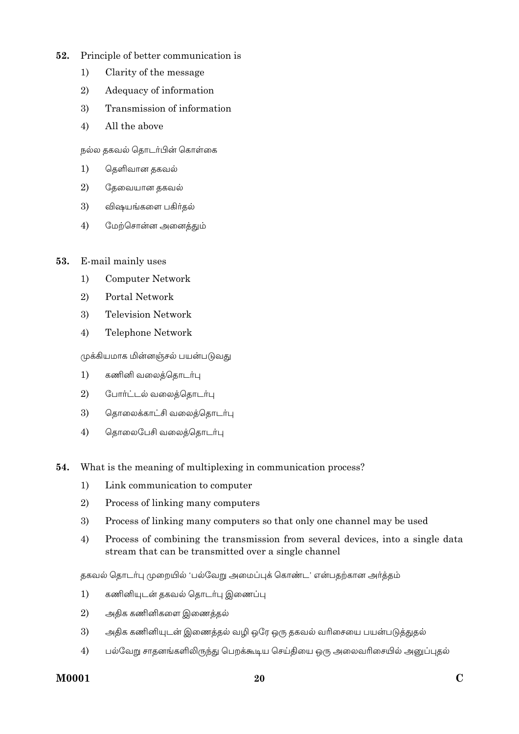- $52.$ Principle of better communication is
	- $1)$ Clarity of the message
	- $2)$ Adequacy of information
	- Transmission of information 3)
	- All the above  $4)$

நல்ல தகவல் தொடர்பின் கொள்கை

- $1)$ தெளிவான தகவல்
- $2)$ தேவையான தகவல்
- 3) விஷயங்களை பகிர்தல்
- $4)$ மேற்சொன்ன அனைத்தும்
- 53. E-mail mainly uses
	- $1)$ **Computer Network**
	- $2)$ Portal Network
	- 3) **Television Network**
	- $4)$ Telephone Network

முக்கியமாக மின்னஞ்சல் பயன்படுவது

- $1)$ கணினி வலைத்தொடர்பு
- 2) போர்ட்டல் வலைத்தொடர்பு
- 3) தொலைக்காட்சி வலைத்தொடர்பு
- $4)$ தொலைபேசி வலைத்தொடர்பு
- What is the meaning of multiplexing in communication process? 54.
	- Link communication to computer  $1)$
	- $\overline{2}$ Process of linking many computers
	- 3) Process of linking many computers so that only one channel may be used
	- $4)$ Process of combining the transmission from several devices, into a single data stream that can be transmitted over a single channel

தகவல் தொடர்பு முறையில் 'பல்வேறு அமைப்புக் கொண்ட' என்பதற்கான அர்த்தம்

- $1)$ கணினியுடன் தகவல் தொடர்பு இணைப்பு
- 2) அதிக கணினிகளை இணைத்தல்
- 3) அதிக கணினியுடன் இணைத்தல் வழி ஒரே ஒரு தகவல் வரிசையை பயன்படுத்துதல்
- $4)$ பல்வேறு சாதனங்களிலிருந்து பெறக்கூடிய செய்தியை ஒரு அலைவரிசையில் அனுப்புதல்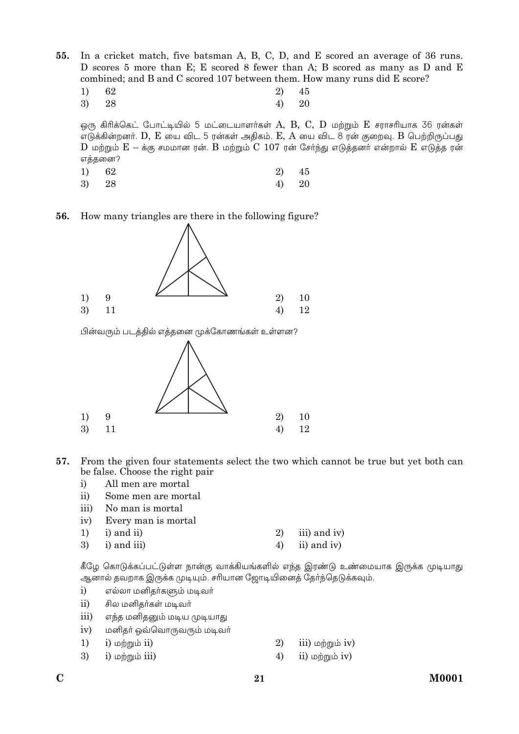In a cricket match, five batsman A, B, C, D, and E scored an average of 36 runs.  $55.$ D scores 5 more than E; E scored 8 fewer than A; B scored as many as D and E combined; and B and C scored 107 between them. How many runs did E score?

 $1)$ 62 2) 45 3) 28  $4)$ 20

ஒரு கிரிக்கெட் போட்டியில் 5 மட்டையாளர்கள்  $A$ ,  $B$ ,  $C$ ,  $D$  மற்றும்  $E$  சராசரியாக 36 ரன்கள் எடுக்கின்றனர்.  $D, E$  யை விட 5 ரன்கள் அதிகம்.  $E, A$  யை விட 8 ரன் குறைவு.  $B$  பெற்றிருப்பது  $D$  மற்றும்  $E - \dot{\sigma}$ கு சமமான ரன்.  $B$  மற்றும்  $C$   $107$  ரன் சேர்ந்து எடுத்தனர் என்றால்  $E$  எடுத்த ரன் எத்தனை?

- $1)$ 62 2) 45
- 3) 28  $4)$ 20

How many triangles are there in the following figure? 56.



பின்வரும் படத்தில் எத்தனை முக்கோணங்கள் உள்ளன?



- 57. From the given four statements select the two which cannot be true but yet both can be false. Choose the right pair
	- All men are mortal  $\ddot{i}$
	- $ii)$ Some men are mortal
	- iii) No man is mortal
	- Every man is mortal  $iv)$

| 1) i) and ii)    | 2) iii) and iv) |
|------------------|-----------------|
| $3)$ i) and iii) | 4) ii) and iv)  |

கீழே கொடுக்கப்பட்டுள்ள நான்கு வாக்கியங்களில் எந்த இரண்டு உண்மையாக இருக்க முடியாது ஆனால் தவறாக இருக்க முடியும். சரியான ஜோடியினைத் தேர்ந்தெடுக்கவும்.

- $\mathbf{i}$ எல்லா மனிதா்களும் மடிவா்
- $\overline{ii}$ சில மனிதர்கள் மடிவர்
- iii) எந்த மனிதனும் மடிய முடியாது
- $iv)$ மனிதா் ஒவ்வொருவரும் மடிவா்
- 1)  $i)$  மற்றும்  $ii)$
- 3) i) மற்றும் iii)
- 2) iii) மற்றும் iv)
- 4)  $ii)$  மற்றும்  $iv)$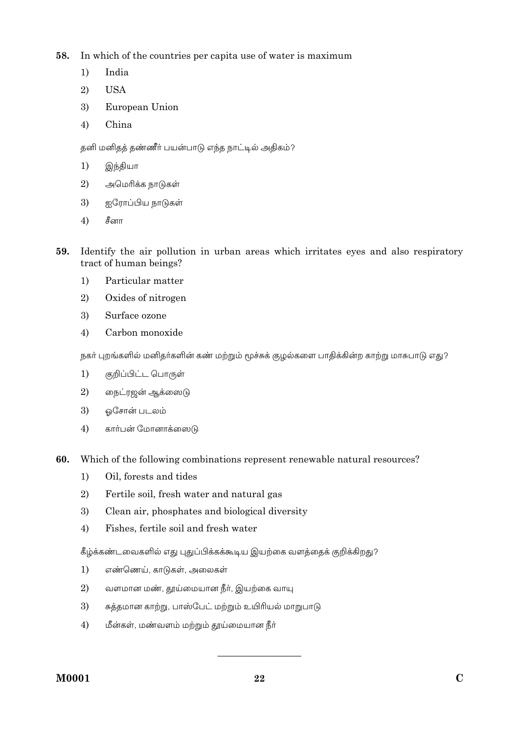58. In which of the countries per capita use of water is maximum

- $1)$ India
- 2) **USA**
- European Union 3)
- $4)$ China

தனி மனிதத் தண்ணீர் பயன்பாடு எந்த நாட்டில் அதிகம்?

- $1)$ இந்தியா
- 2) அமெரிக்க நாடுகள்
- 3) ஐரோப்பிய நாடுகள்
- 4) சீனா
- Identify the air pollution in urban areas which irritates eyes and also respiratory 59. tract of human beings?
	- Particular matter  $1)$
	- $2)$ Oxides of nitrogen
	- 3) Surface ozone
	- Carbon monoxide  $4)$

நகர் புறங்களில் மனிதர்களின் கண் மற்றும் மூச்சுக் குழல்களை பாதிக்கின்ற காற்று மாசுபாடு எது?

- $1)$ குறிப்பிட்ட பொருள்
- 2) நைட்ரஜன் ஆக்ஸைடு
- 3) ஒசோன் படலம்
- $4)$ கார்பன் மோனாக்ஸைடு
- 60. Which of the following combinations represent renewable natural resources?
	- Oil, forests and tides  $1)$
	- $\overline{2}$ Fertile soil, fresh water and natural gas
	- 3) Clean air, phosphates and biological diversity
	- $4)$ Fishes, fertile soil and fresh water

கீழ்க்கண்டவைகளில் எது புதுப்பிக்கக்கூடிய இயற்கை வளக்கைக் குறிக்கிறது?

- $1)$ எண்ணெய், காடுகள், அலைகள்
- 2) வளமான மண், தூய்மையான நீர், இயற்கை வாயு
- 3) சுத்தமான காற்று, பாஸ்பேட் மற்றும் உயிரியல் மாறுபாடு
- $4)$ மீன்கள், மண்வளம் மற்றும் தூய்மையான நீர்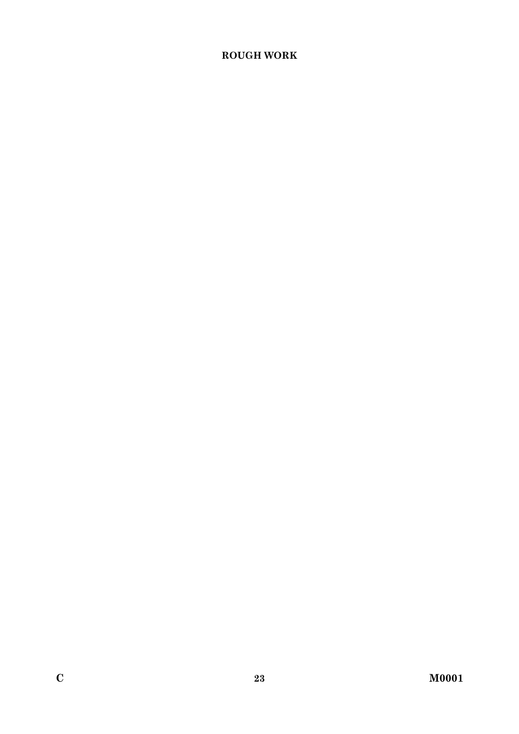# **ROUGH WORK**